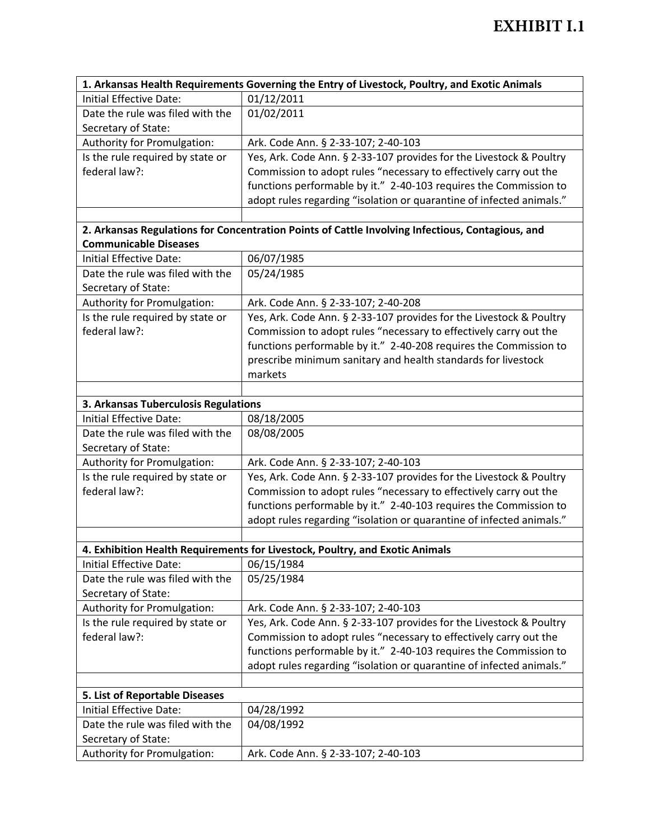| 1. Arkansas Health Requirements Governing the Entry of Livestock, Poultry, and Exotic Animals    |                                                                              |  |
|--------------------------------------------------------------------------------------------------|------------------------------------------------------------------------------|--|
| Initial Effective Date:                                                                          | 01/12/2011                                                                   |  |
| Date the rule was filed with the                                                                 | 01/02/2011                                                                   |  |
| Secretary of State:                                                                              |                                                                              |  |
| Authority for Promulgation:                                                                      | Ark. Code Ann. § 2-33-107; 2-40-103                                          |  |
| Is the rule required by state or                                                                 | Yes, Ark. Code Ann. § 2-33-107 provides for the Livestock & Poultry          |  |
| federal law?:                                                                                    | Commission to adopt rules "necessary to effectively carry out the            |  |
|                                                                                                  | functions performable by it." 2-40-103 requires the Commission to            |  |
|                                                                                                  | adopt rules regarding "isolation or quarantine of infected animals."         |  |
|                                                                                                  |                                                                              |  |
| 2. Arkansas Regulations for Concentration Points of Cattle Involving Infectious, Contagious, and |                                                                              |  |
| <b>Communicable Diseases</b>                                                                     |                                                                              |  |
| Initial Effective Date:                                                                          | 06/07/1985                                                                   |  |
| Date the rule was filed with the                                                                 | 05/24/1985                                                                   |  |
| Secretary of State:                                                                              |                                                                              |  |
| Authority for Promulgation:                                                                      | Ark. Code Ann. § 2-33-107; 2-40-208                                          |  |
| Is the rule required by state or                                                                 | Yes, Ark. Code Ann. § 2-33-107 provides for the Livestock & Poultry          |  |
| federal law?:                                                                                    | Commission to adopt rules "necessary to effectively carry out the            |  |
|                                                                                                  | functions performable by it." 2-40-208 requires the Commission to            |  |
|                                                                                                  | prescribe minimum sanitary and health standards for livestock                |  |
|                                                                                                  | markets                                                                      |  |
|                                                                                                  |                                                                              |  |
| 3. Arkansas Tuberculosis Regulations                                                             |                                                                              |  |
| Initial Effective Date:                                                                          | 08/18/2005                                                                   |  |
| Date the rule was filed with the                                                                 | 08/08/2005                                                                   |  |
| Secretary of State:                                                                              |                                                                              |  |
| Authority for Promulgation:                                                                      | Ark. Code Ann. § 2-33-107; 2-40-103                                          |  |
| Is the rule required by state or                                                                 | Yes, Ark. Code Ann. § 2-33-107 provides for the Livestock & Poultry          |  |
| federal law?:                                                                                    | Commission to adopt rules "necessary to effectively carry out the            |  |
|                                                                                                  | functions performable by it." 2-40-103 requires the Commission to            |  |
|                                                                                                  | adopt rules regarding "isolation or quarantine of infected animals."         |  |
|                                                                                                  |                                                                              |  |
|                                                                                                  | 4. Exhibition Health Requirements for Livestock, Poultry, and Exotic Animals |  |
| Initial Effective Date:                                                                          | 06/15/1984                                                                   |  |
| Date the rule was filed with the                                                                 | 05/25/1984                                                                   |  |
| Secretary of State:                                                                              |                                                                              |  |
| Authority for Promulgation:                                                                      | Ark. Code Ann. § 2-33-107; 2-40-103                                          |  |
| Is the rule required by state or                                                                 | Yes, Ark. Code Ann. § 2-33-107 provides for the Livestock & Poultry          |  |
| federal law?:                                                                                    | Commission to adopt rules "necessary to effectively carry out the            |  |
|                                                                                                  | functions performable by it." 2-40-103 requires the Commission to            |  |
|                                                                                                  | adopt rules regarding "isolation or quarantine of infected animals."         |  |
|                                                                                                  |                                                                              |  |
| 5. List of Reportable Diseases                                                                   |                                                                              |  |
| Initial Effective Date:                                                                          | 04/28/1992                                                                   |  |
| Date the rule was filed with the                                                                 | 04/08/1992                                                                   |  |
| Secretary of State:                                                                              |                                                                              |  |
| Authority for Promulgation:                                                                      | Ark. Code Ann. § 2-33-107; 2-40-103                                          |  |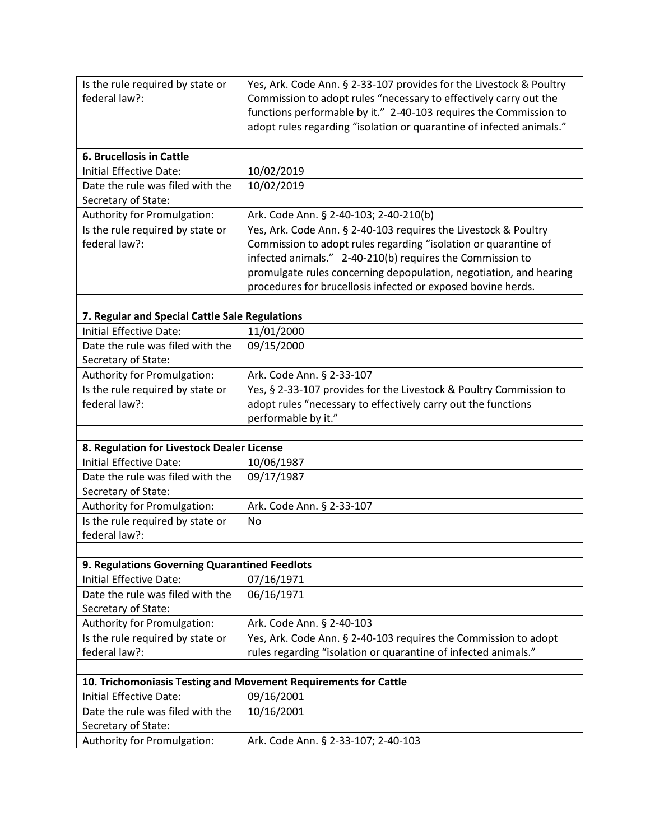| federal law?:<br>Commission to adopt rules "necessary to effectively carry out the<br>functions performable by it." 2-40-103 requires the Commission to<br>adopt rules regarding "isolation or quarantine of infected animals."<br>6. Brucellosis in Cattle<br>10/02/2019<br>Initial Effective Date:<br>Date the rule was filed with the<br>10/02/2019<br>Secretary of State:<br>Authority for Promulgation:<br>Ark. Code Ann. § 2-40-103; 2-40-210(b)<br>Is the rule required by state or<br>Yes, Ark. Code Ann. § 2-40-103 requires the Livestock & Poultry<br>federal law?:<br>Commission to adopt rules regarding "isolation or quarantine of<br>infected animals." 2-40-210(b) requires the Commission to<br>promulgate rules concerning depopulation, negotiation, and hearing<br>procedures for brucellosis infected or exposed bovine herds. |  |  |
|------------------------------------------------------------------------------------------------------------------------------------------------------------------------------------------------------------------------------------------------------------------------------------------------------------------------------------------------------------------------------------------------------------------------------------------------------------------------------------------------------------------------------------------------------------------------------------------------------------------------------------------------------------------------------------------------------------------------------------------------------------------------------------------------------------------------------------------------------|--|--|
|                                                                                                                                                                                                                                                                                                                                                                                                                                                                                                                                                                                                                                                                                                                                                                                                                                                      |  |  |
|                                                                                                                                                                                                                                                                                                                                                                                                                                                                                                                                                                                                                                                                                                                                                                                                                                                      |  |  |
|                                                                                                                                                                                                                                                                                                                                                                                                                                                                                                                                                                                                                                                                                                                                                                                                                                                      |  |  |
|                                                                                                                                                                                                                                                                                                                                                                                                                                                                                                                                                                                                                                                                                                                                                                                                                                                      |  |  |
|                                                                                                                                                                                                                                                                                                                                                                                                                                                                                                                                                                                                                                                                                                                                                                                                                                                      |  |  |
|                                                                                                                                                                                                                                                                                                                                                                                                                                                                                                                                                                                                                                                                                                                                                                                                                                                      |  |  |
|                                                                                                                                                                                                                                                                                                                                                                                                                                                                                                                                                                                                                                                                                                                                                                                                                                                      |  |  |
|                                                                                                                                                                                                                                                                                                                                                                                                                                                                                                                                                                                                                                                                                                                                                                                                                                                      |  |  |
|                                                                                                                                                                                                                                                                                                                                                                                                                                                                                                                                                                                                                                                                                                                                                                                                                                                      |  |  |
|                                                                                                                                                                                                                                                                                                                                                                                                                                                                                                                                                                                                                                                                                                                                                                                                                                                      |  |  |
|                                                                                                                                                                                                                                                                                                                                                                                                                                                                                                                                                                                                                                                                                                                                                                                                                                                      |  |  |
|                                                                                                                                                                                                                                                                                                                                                                                                                                                                                                                                                                                                                                                                                                                                                                                                                                                      |  |  |
|                                                                                                                                                                                                                                                                                                                                                                                                                                                                                                                                                                                                                                                                                                                                                                                                                                                      |  |  |
|                                                                                                                                                                                                                                                                                                                                                                                                                                                                                                                                                                                                                                                                                                                                                                                                                                                      |  |  |
|                                                                                                                                                                                                                                                                                                                                                                                                                                                                                                                                                                                                                                                                                                                                                                                                                                                      |  |  |
| 7. Regular and Special Cattle Sale Regulations                                                                                                                                                                                                                                                                                                                                                                                                                                                                                                                                                                                                                                                                                                                                                                                                       |  |  |
| Initial Effective Date:<br>11/01/2000                                                                                                                                                                                                                                                                                                                                                                                                                                                                                                                                                                                                                                                                                                                                                                                                                |  |  |
| 09/15/2000<br>Date the rule was filed with the                                                                                                                                                                                                                                                                                                                                                                                                                                                                                                                                                                                                                                                                                                                                                                                                       |  |  |
| Secretary of State:                                                                                                                                                                                                                                                                                                                                                                                                                                                                                                                                                                                                                                                                                                                                                                                                                                  |  |  |
| Authority for Promulgation:<br>Ark. Code Ann. § 2-33-107                                                                                                                                                                                                                                                                                                                                                                                                                                                                                                                                                                                                                                                                                                                                                                                             |  |  |
| Is the rule required by state or<br>Yes, § 2-33-107 provides for the Livestock & Poultry Commission to                                                                                                                                                                                                                                                                                                                                                                                                                                                                                                                                                                                                                                                                                                                                               |  |  |
| federal law?:<br>adopt rules "necessary to effectively carry out the functions                                                                                                                                                                                                                                                                                                                                                                                                                                                                                                                                                                                                                                                                                                                                                                       |  |  |
| performable by it."                                                                                                                                                                                                                                                                                                                                                                                                                                                                                                                                                                                                                                                                                                                                                                                                                                  |  |  |
|                                                                                                                                                                                                                                                                                                                                                                                                                                                                                                                                                                                                                                                                                                                                                                                                                                                      |  |  |
| 8. Regulation for Livestock Dealer License                                                                                                                                                                                                                                                                                                                                                                                                                                                                                                                                                                                                                                                                                                                                                                                                           |  |  |
| Initial Effective Date:<br>10/06/1987                                                                                                                                                                                                                                                                                                                                                                                                                                                                                                                                                                                                                                                                                                                                                                                                                |  |  |
| 09/17/1987<br>Date the rule was filed with the                                                                                                                                                                                                                                                                                                                                                                                                                                                                                                                                                                                                                                                                                                                                                                                                       |  |  |
| Secretary of State:                                                                                                                                                                                                                                                                                                                                                                                                                                                                                                                                                                                                                                                                                                                                                                                                                                  |  |  |
| Authority for Promulgation:<br>Ark. Code Ann. § 2-33-107                                                                                                                                                                                                                                                                                                                                                                                                                                                                                                                                                                                                                                                                                                                                                                                             |  |  |
| Is the rule required by state or<br>No                                                                                                                                                                                                                                                                                                                                                                                                                                                                                                                                                                                                                                                                                                                                                                                                               |  |  |
| federal law?:                                                                                                                                                                                                                                                                                                                                                                                                                                                                                                                                                                                                                                                                                                                                                                                                                                        |  |  |
|                                                                                                                                                                                                                                                                                                                                                                                                                                                                                                                                                                                                                                                                                                                                                                                                                                                      |  |  |
| 9. Regulations Governing Quarantined Feedlots                                                                                                                                                                                                                                                                                                                                                                                                                                                                                                                                                                                                                                                                                                                                                                                                        |  |  |
| Initial Effective Date:<br>07/16/1971                                                                                                                                                                                                                                                                                                                                                                                                                                                                                                                                                                                                                                                                                                                                                                                                                |  |  |
| 06/16/1971<br>Date the rule was filed with the                                                                                                                                                                                                                                                                                                                                                                                                                                                                                                                                                                                                                                                                                                                                                                                                       |  |  |
| Secretary of State:                                                                                                                                                                                                                                                                                                                                                                                                                                                                                                                                                                                                                                                                                                                                                                                                                                  |  |  |
| Authority for Promulgation:<br>Ark. Code Ann. § 2-40-103                                                                                                                                                                                                                                                                                                                                                                                                                                                                                                                                                                                                                                                                                                                                                                                             |  |  |
| Is the rule required by state or<br>Yes, Ark. Code Ann. § 2-40-103 requires the Commission to adopt                                                                                                                                                                                                                                                                                                                                                                                                                                                                                                                                                                                                                                                                                                                                                  |  |  |
| federal law?:<br>rules regarding "isolation or quarantine of infected animals."                                                                                                                                                                                                                                                                                                                                                                                                                                                                                                                                                                                                                                                                                                                                                                      |  |  |
|                                                                                                                                                                                                                                                                                                                                                                                                                                                                                                                                                                                                                                                                                                                                                                                                                                                      |  |  |
| 10. Trichomoniasis Testing and Movement Requirements for Cattle                                                                                                                                                                                                                                                                                                                                                                                                                                                                                                                                                                                                                                                                                                                                                                                      |  |  |
| Initial Effective Date:<br>09/16/2001                                                                                                                                                                                                                                                                                                                                                                                                                                                                                                                                                                                                                                                                                                                                                                                                                |  |  |
| Date the rule was filed with the<br>10/16/2001                                                                                                                                                                                                                                                                                                                                                                                                                                                                                                                                                                                                                                                                                                                                                                                                       |  |  |
| Secretary of State:                                                                                                                                                                                                                                                                                                                                                                                                                                                                                                                                                                                                                                                                                                                                                                                                                                  |  |  |
| Authority for Promulgation:<br>Ark. Code Ann. § 2-33-107; 2-40-103                                                                                                                                                                                                                                                                                                                                                                                                                                                                                                                                                                                                                                                                                                                                                                                   |  |  |